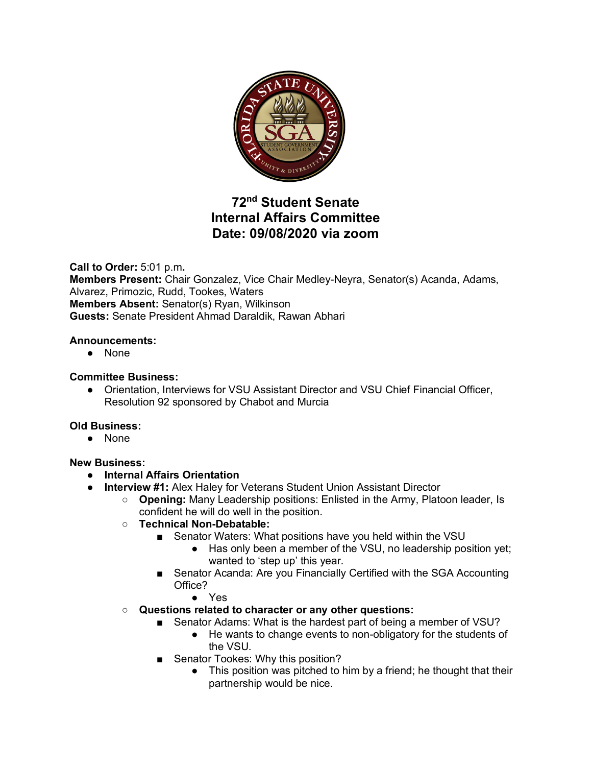

# **72nd Student Senate Internal Affairs Committee Date: 09/08/2020 via zoom**

**Call to Order:** 5:01 p.m**. Members Present:** Chair Gonzalez, Vice Chair Medley-Neyra, Senator(s) Acanda, Adams, Alvarez, Primozic, Rudd, Tookes, Waters **Members Absent:** Senator(s) Ryan, Wilkinson **Guests:** Senate President Ahmad Daraldik, Rawan Abhari

## **Announcements:**

● None

## **Committee Business:**

● Orientation, Interviews for VSU Assistant Director and VSU Chief Financial Officer, Resolution 92 sponsored by Chabot and Murcia

### **Old Business:**

● None

### **New Business:**

- **Internal Affairs Orientation**
- **Interview #1:** Alex Haley for Veterans Student Union Assistant Director
	- **Opening:** Many Leadership positions: Enlisted in the Army, Platoon leader, Is confident he will do well in the position.
		- **Technical Non-Debatable:**
			- Senator Waters: What positions have you held within the VSU
				- Has only been a member of the VSU, no leadership position yet; wanted to 'step up' this year.
			- Senator Acanda: Are you Financially Certified with the SGA Accounting Office?
				- Yes
		- **Questions related to character or any other questions:**
			- Senator Adams: What is the hardest part of being a member of VSU?
				- He wants to change events to non-obligatory for the students of the VSU.
			- Senator Tookes: Why this position?
				- This position was pitched to him by a friend; he thought that their partnership would be nice.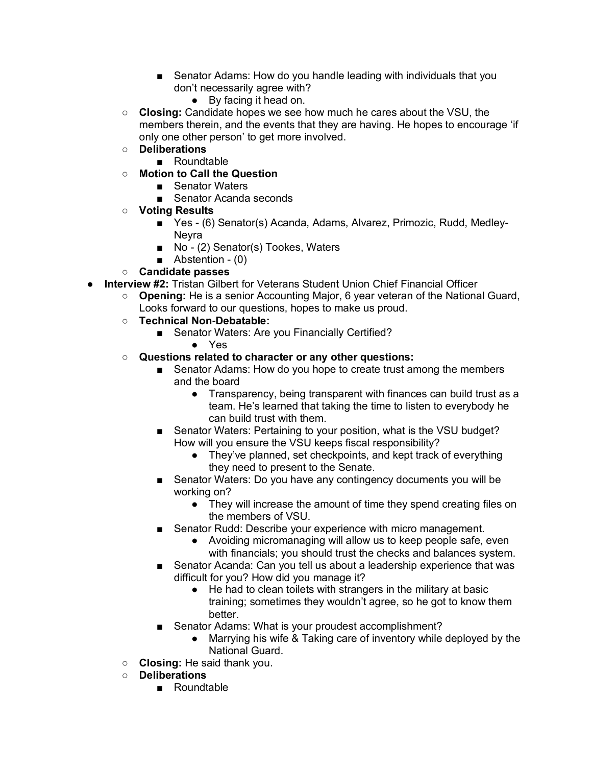- Senator Adams: How do you handle leading with individuals that you don't necessarily agree with?
	- By facing it head on.
- **Closing:** Candidate hopes we see how much he cares about the VSU, the members therein, and the events that they are having. He hopes to encourage 'if only one other person' to get more involved.
- **Deliberations**
	- Roundtable
- **Motion to Call the Question**
	- Senator Waters
	- Senator Acanda seconds
- **Voting Results**
	- Yes (6) Senator(s) Acanda, Adams, Alvarez, Primozic, Rudd, Medley-**Nevra**
	- No (2) Senator(s) Tookes, Waters
	- Abstention (0)
- **Candidate passes**
- **Interview #2:** Tristan Gilbert for Veterans Student Union Chief Financial Officer
	- **Opening:** He is a senior Accounting Major, 6 year veteran of the National Guard, Looks forward to our questions, hopes to make us proud.
	- **Technical Non-Debatable:**
		- Senator Waters: Are you Financially Certified?
			- Yes
	- **Questions related to character or any other questions:**
		- Senator Adams: How do you hope to create trust among the members and the board
			- Transparency, being transparent with finances can build trust as a team. He's learned that taking the time to listen to everybody he can build trust with them.
		- Senator Waters: Pertaining to your position, what is the VSU budget? How will you ensure the VSU keeps fiscal responsibility?
			- They've planned, set checkpoints, and kept track of everything they need to present to the Senate.
		- Senator Waters: Do you have any contingency documents you will be working on?
			- They will increase the amount of time they spend creating files on the members of VSU.
		- Senator Rudd: Describe your experience with micro management.
			- Avoiding micromanaging will allow us to keep people safe, even with financials; you should trust the checks and balances system.
		- Senator Acanda: Can you tell us about a leadership experience that was difficult for you? How did you manage it?
			- He had to clean toilets with strangers in the military at basic training; sometimes they wouldn't agree, so he got to know them better.
		- Senator Adams: What is your proudest accomplishment?
			- Marrying his wife & Taking care of inventory while deployed by the National Guard.
	- **Closing:** He said thank you.
	- **Deliberations**
		- Roundtable